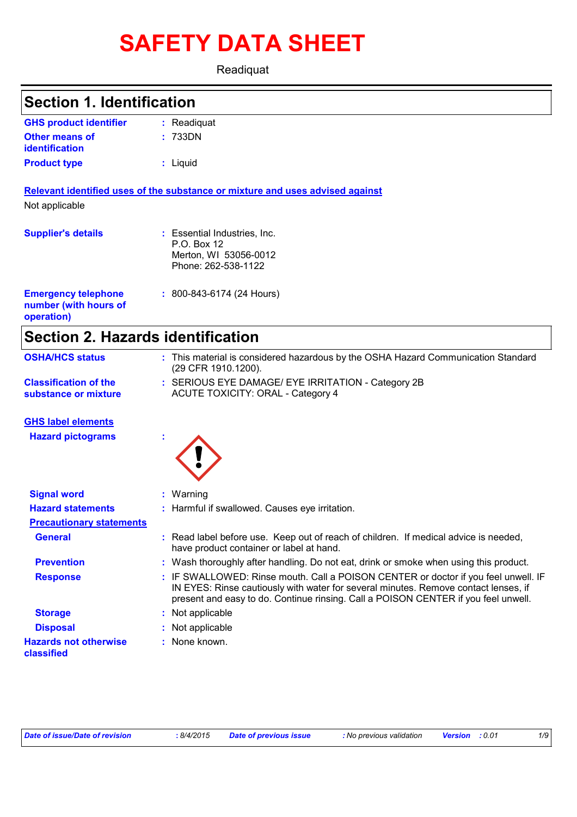# **SAFETY DATA SHEET**

Readiquat

| <b>Section 1. Identification</b>                                  |                                                                                                                                                                                                                                                                 |
|-------------------------------------------------------------------|-----------------------------------------------------------------------------------------------------------------------------------------------------------------------------------------------------------------------------------------------------------------|
|                                                                   |                                                                                                                                                                                                                                                                 |
| <b>GHS product identifier</b>                                     | : Readiquat                                                                                                                                                                                                                                                     |
| <b>Other means of</b><br>identification                           | 733DN                                                                                                                                                                                                                                                           |
| <b>Product type</b>                                               | : Liquid                                                                                                                                                                                                                                                        |
|                                                                   | Relevant identified uses of the substance or mixture and uses advised against                                                                                                                                                                                   |
| Not applicable                                                    |                                                                                                                                                                                                                                                                 |
| <b>Supplier's details</b>                                         | : Essential Industries, Inc.<br>P.O. Box 12<br>Merton, WI 53056-0012<br>Phone: 262-538-1122                                                                                                                                                                     |
| <b>Emergency telephone</b><br>number (with hours of<br>operation) | : 800-843-6174 (24 Hours)                                                                                                                                                                                                                                       |
| <b>Section 2. Hazards identification</b>                          |                                                                                                                                                                                                                                                                 |
| <b>OSHA/HCS status</b>                                            | : This material is considered hazardous by the OSHA Hazard Communication Standard<br>(29 CFR 1910.1200).                                                                                                                                                        |
| <b>Classification of the</b><br>substance or mixture              | : SERIOUS EYE DAMAGE/ EYE IRRITATION - Category 2B<br><b>ACUTE TOXICITY: ORAL - Category 4</b>                                                                                                                                                                  |
| <b>GHS label elements</b>                                         |                                                                                                                                                                                                                                                                 |
| <b>Hazard pictograms</b>                                          |                                                                                                                                                                                                                                                                 |
| <b>Signal word</b>                                                | : Warning                                                                                                                                                                                                                                                       |
| <b>Hazard statements</b>                                          | : Harmful if swallowed. Causes eye irritation.                                                                                                                                                                                                                  |
| <b>Precautionary statements</b>                                   |                                                                                                                                                                                                                                                                 |
| <b>General</b>                                                    | : Read label before use. Keep out of reach of children. If medical advice is needed,<br>have product container or label at hand.                                                                                                                                |
| <b>Prevention</b>                                                 | : Wash thoroughly after handling. Do not eat, drink or smoke when using this product.                                                                                                                                                                           |
| <b>Response</b>                                                   | : IF SWALLOWED: Rinse mouth. Call a POISON CENTER or doctor if you feel unwell. IF<br>IN EYES: Rinse cautiously with water for several minutes. Remove contact lenses, if<br>present and easy to do. Continue rinsing. Call a POISON CENTER if you feel unwell. |
| <b>Storage</b>                                                    | : Not applicable                                                                                                                                                                                                                                                |
| <b>Disposal</b>                                                   | Not applicable                                                                                                                                                                                                                                                  |
| <b>Hazards not otherwise</b><br>classified                        | : None known.                                                                                                                                                                                                                                                   |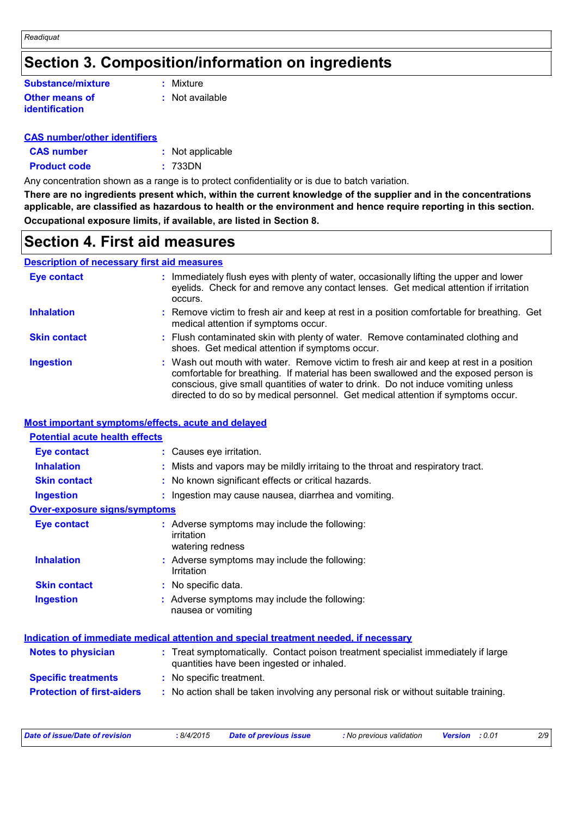## **Section 3. Composition/information on ingredients**

#### **Other means of identification Substance/mixture**

**:** Mixture

**:** Not available

#### **CAS number/other identifiers**

| <b>CAS number</b>   | : Not applicable |
|---------------------|------------------|
| <b>Product code</b> | : 733DN          |

Any concentration shown as a range is to protect confidentiality or is due to batch variation.

**There are no ingredients present which, within the current knowledge of the supplier and in the concentrations applicable, are classified as hazardous to health or the environment and hence require reporting in this section. Occupational exposure limits, if available, are listed in Section 8.**

### **Section 4. First aid measures**

#### **Description of necessary first aid measures**

| <b>Eye contact</b>  | : Immediately flush eyes with plenty of water, occasionally lifting the upper and lower<br>eyelids. Check for and remove any contact lenses. Get medical attention if irritation<br>occurs.                                                                                                                                                            |
|---------------------|--------------------------------------------------------------------------------------------------------------------------------------------------------------------------------------------------------------------------------------------------------------------------------------------------------------------------------------------------------|
| <b>Inhalation</b>   | : Remove victim to fresh air and keep at rest in a position comfortable for breathing. Get<br>medical attention if symptoms occur.                                                                                                                                                                                                                     |
| <b>Skin contact</b> | : Flush contaminated skin with plenty of water. Remove contaminated clothing and<br>shoes. Get medical attention if symptoms occur.                                                                                                                                                                                                                    |
| <b>Ingestion</b>    | : Wash out mouth with water. Remove victim to fresh air and keep at rest in a position<br>comfortable for breathing. If material has been swallowed and the exposed person is<br>conscious, give small quantities of water to drink. Do not induce vomiting unless<br>directed to do so by medical personnel. Get medical attention if symptoms occur. |

#### **Most important symptoms/effects, acute and delayed**

| <b>Potential acute health effects</b> |                                                                                                                              |
|---------------------------------------|------------------------------------------------------------------------------------------------------------------------------|
| <b>Eye contact</b>                    | : Causes eye irritation.                                                                                                     |
| <b>Inhalation</b>                     | : Mists and vapors may be mildly irritaing to the throat and respiratory tract.                                              |
| <b>Skin contact</b>                   | : No known significant effects or critical hazards.                                                                          |
| <b>Ingestion</b>                      | : Ingestion may cause nausea, diarrhea and vomiting.                                                                         |
| <b>Over-exposure signs/symptoms</b>   |                                                                                                                              |
| <b>Eye contact</b>                    | : Adverse symptoms may include the following:<br>irritation<br>watering redness                                              |
| <b>Inhalation</b>                     | : Adverse symptoms may include the following:<br>Irritation                                                                  |
| <b>Skin contact</b>                   | : No specific data.                                                                                                          |
| <b>Ingestion</b>                      | Adverse symptoms may include the following:<br>nausea or vomiting                                                            |
|                                       | Indication of immediate medical attention and special treatment needed, if necessary                                         |
| <b>Notes to physician</b>             | Treat symptomatically. Contact poison treatment specialist immediately if large<br>quantities have been ingested or inhaled. |
| <b>Specific treatments</b>            | : No specific treatment.                                                                                                     |
| <b>Protection of first-aiders</b>     | : No action shall be taken involving any personal risk or without suitable training.                                         |

| Date of issue/Date of revision | 8/4/2015 | Date of previous issue | : No previous validation | <b>Version</b> : 0.01 | 2/9 |
|--------------------------------|----------|------------------------|--------------------------|-----------------------|-----|
|                                |          |                        |                          |                       |     |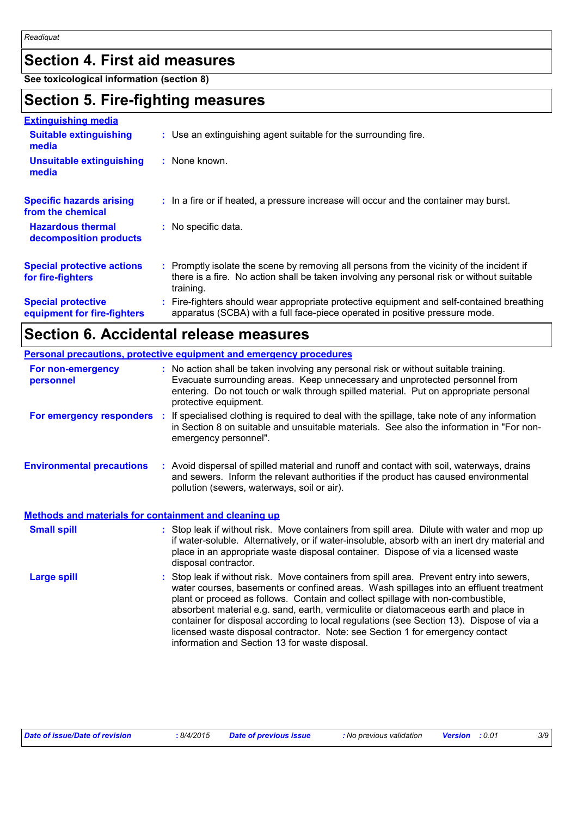## **Section 4. First aid measures**

**See toxicological information (section 8)**

### **Section 5. Fire-fighting measures**

| <b>Extinguishing media</b>                               |                                                                                                                                                                                                     |
|----------------------------------------------------------|-----------------------------------------------------------------------------------------------------------------------------------------------------------------------------------------------------|
| <b>Suitable extinguishing</b><br>media                   | : Use an extinguishing agent suitable for the surrounding fire.                                                                                                                                     |
| <b>Unsuitable extinguishing</b><br>media                 | : None known.                                                                                                                                                                                       |
| <b>Specific hazards arising</b><br>from the chemical     | : In a fire or if heated, a pressure increase will occur and the container may burst.                                                                                                               |
| <b>Hazardous thermal</b><br>decomposition products       | : No specific data.                                                                                                                                                                                 |
| <b>Special protective actions</b><br>for fire-fighters   | : Promptly isolate the scene by removing all persons from the vicinity of the incident if<br>there is a fire. No action shall be taken involving any personal risk or without suitable<br>training. |
| <b>Special protective</b><br>equipment for fire-fighters | : Fire-fighters should wear appropriate protective equipment and self-contained breathing<br>apparatus (SCBA) with a full face-piece operated in positive pressure mode.                            |

## **Section 6. Accidental release measures**

|                                                              | <b>Personal precautions, protective equipment and emergency procedures</b>                                                                                                                                                                                                                                                                                                                                                                                                                                                                                                                 |  |  |
|--------------------------------------------------------------|--------------------------------------------------------------------------------------------------------------------------------------------------------------------------------------------------------------------------------------------------------------------------------------------------------------------------------------------------------------------------------------------------------------------------------------------------------------------------------------------------------------------------------------------------------------------------------------------|--|--|
| For non-emergency<br>personnel                               | : No action shall be taken involving any personal risk or without suitable training.<br>Evacuate surrounding areas. Keep unnecessary and unprotected personnel from<br>entering. Do not touch or walk through spilled material. Put on appropriate personal<br>protective equipment.                                                                                                                                                                                                                                                                                                       |  |  |
|                                                              | For emergency responders : If specialised clothing is required to deal with the spillage, take note of any information<br>in Section 8 on suitable and unsuitable materials. See also the information in "For non-<br>emergency personnel".                                                                                                                                                                                                                                                                                                                                                |  |  |
| <b>Environmental precautions</b>                             | : Avoid dispersal of spilled material and runoff and contact with soil, waterways, drains<br>and sewers. Inform the relevant authorities if the product has caused environmental<br>pollution (sewers, waterways, soil or air).                                                                                                                                                                                                                                                                                                                                                            |  |  |
| <b>Methods and materials for containment and cleaning up</b> |                                                                                                                                                                                                                                                                                                                                                                                                                                                                                                                                                                                            |  |  |
| <b>Small spill</b>                                           | : Stop leak if without risk. Move containers from spill area. Dilute with water and mop up<br>if water-soluble. Alternatively, or if water-insoluble, absorb with an inert dry material and<br>place in an appropriate waste disposal container. Dispose of via a licensed waste<br>disposal contractor.                                                                                                                                                                                                                                                                                   |  |  |
| <b>Large spill</b>                                           | : Stop leak if without risk. Move containers from spill area. Prevent entry into sewers,<br>water courses, basements or confined areas. Wash spillages into an effluent treatment<br>plant or proceed as follows. Contain and collect spillage with non-combustible,<br>absorbent material e.g. sand, earth, vermiculite or diatomaceous earth and place in<br>container for disposal according to local regulations (see Section 13). Dispose of via a<br>licensed waste disposal contractor. Note: see Section 1 for emergency contact<br>information and Section 13 for waste disposal. |  |  |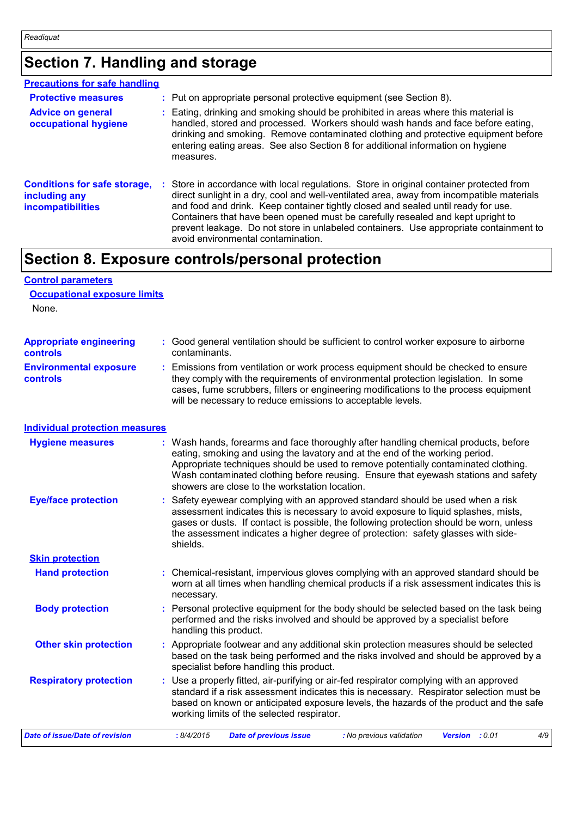## **Section 7. Handling and storage**

| <b>Precautions for safe handling</b>                                             |                                                                                                                                                                                                                                                                                                                                                                                                                                                                                              |
|----------------------------------------------------------------------------------|----------------------------------------------------------------------------------------------------------------------------------------------------------------------------------------------------------------------------------------------------------------------------------------------------------------------------------------------------------------------------------------------------------------------------------------------------------------------------------------------|
| <b>Protective measures</b>                                                       | : Put on appropriate personal protective equipment (see Section 8).                                                                                                                                                                                                                                                                                                                                                                                                                          |
| <b>Advice on general</b><br>occupational hygiene                                 | : Eating, drinking and smoking should be prohibited in areas where this material is<br>handled, stored and processed. Workers should wash hands and face before eating,<br>drinking and smoking. Remove contaminated clothing and protective equipment before<br>entering eating areas. See also Section 8 for additional information on hygiene<br>measures.                                                                                                                                |
| <b>Conditions for safe storage,</b><br>including any<br><b>incompatibilities</b> | : Store in accordance with local regulations. Store in original container protected from<br>direct sunlight in a dry, cool and well-ventilated area, away from incompatible materials<br>and food and drink. Keep container tightly closed and sealed until ready for use.<br>Containers that have been opened must be carefully resealed and kept upright to<br>prevent leakage. Do not store in unlabeled containers. Use appropriate containment to<br>avoid environmental contamination. |

## **Section 8. Exposure controls/personal protection**

#### **Control parameters Occupational exposure limits**

None.

| <b>Appropriate engineering</b>                   | : Good general ventilation should be sufficient to control worker exposure to airborne                                                                                                                                                                                                                                          |
|--------------------------------------------------|---------------------------------------------------------------------------------------------------------------------------------------------------------------------------------------------------------------------------------------------------------------------------------------------------------------------------------|
| <b>controls</b>                                  | contaminants.                                                                                                                                                                                                                                                                                                                   |
| <b>Environmental exposure</b><br><b>controls</b> | : Emissions from ventilation or work process equipment should be checked to ensure<br>they comply with the requirements of environmental protection legislation. In some<br>cases, fume scrubbers, filters or engineering modifications to the process equipment<br>will be necessary to reduce emissions to acceptable levels. |

#### **Individual protection measures**

| <b>Hygiene measures</b>               | : Wash hands, forearms and face thoroughly after handling chemical products, before<br>eating, smoking and using the lavatory and at the end of the working period.<br>Appropriate techniques should be used to remove potentially contaminated clothing.<br>Wash contaminated clothing before reusing. Ensure that eyewash stations and safety<br>showers are close to the workstation location. |
|---------------------------------------|---------------------------------------------------------------------------------------------------------------------------------------------------------------------------------------------------------------------------------------------------------------------------------------------------------------------------------------------------------------------------------------------------|
| <b>Eye/face protection</b>            | : Safety eyewear complying with an approved standard should be used when a risk<br>assessment indicates this is necessary to avoid exposure to liquid splashes, mists,<br>gases or dusts. If contact is possible, the following protection should be worn, unless<br>the assessment indicates a higher degree of protection: safety glasses with side-<br>shields.                                |
| <b>Skin protection</b>                |                                                                                                                                                                                                                                                                                                                                                                                                   |
| <b>Hand protection</b>                | : Chemical-resistant, impervious gloves complying with an approved standard should be<br>worn at all times when handling chemical products if a risk assessment indicates this is<br>necessary.                                                                                                                                                                                                   |
| <b>Body protection</b>                | : Personal protective equipment for the body should be selected based on the task being<br>performed and the risks involved and should be approved by a specialist before<br>handling this product.                                                                                                                                                                                               |
| <b>Other skin protection</b>          | : Appropriate footwear and any additional skin protection measures should be selected<br>based on the task being performed and the risks involved and should be approved by a<br>specialist before handling this product.                                                                                                                                                                         |
| <b>Respiratory protection</b>         | : Use a properly fitted, air-purifying or air-fed respirator complying with an approved<br>standard if a risk assessment indicates this is necessary. Respirator selection must be<br>based on known or anticipated exposure levels, the hazards of the product and the safe<br>working limits of the selected respirator.                                                                        |
| <b>Date of issue/Date of revision</b> | : 8/4/2015<br>: No previous validation<br><b>Date of previous issue</b><br>Version : 0.01<br>4/9                                                                                                                                                                                                                                                                                                  |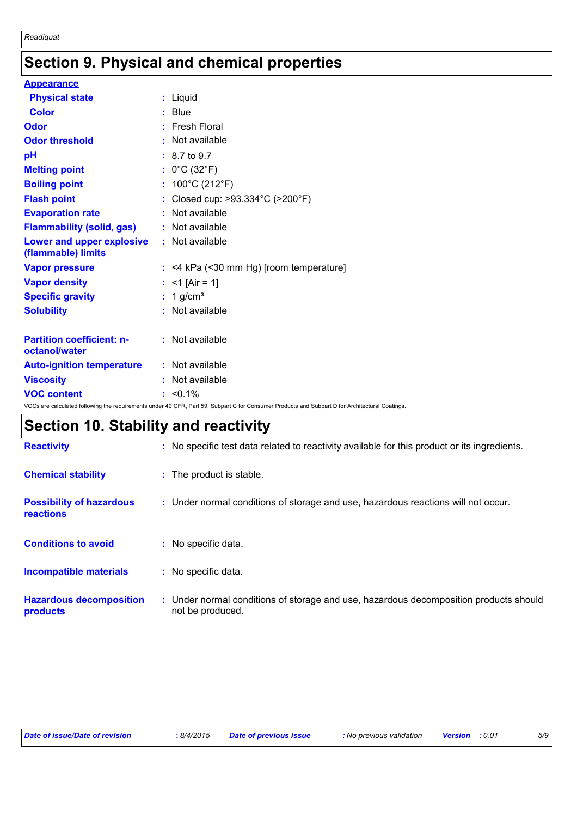## **Section 9. Physical and chemical properties**

| <b>Appearance</b>                                 |                                                                                                                                                 |
|---------------------------------------------------|-------------------------------------------------------------------------------------------------------------------------------------------------|
| <b>Physical state</b>                             | : Liquid                                                                                                                                        |
| <b>Color</b>                                      | $:$ Blue                                                                                                                                        |
| Odor                                              | $:$ Fresh Floral                                                                                                                                |
| <b>Odor threshold</b>                             | : Not available                                                                                                                                 |
| pH                                                | $: 8.7 \text{ to } 9.7$                                                                                                                         |
| <b>Melting point</b>                              | : $0^{\circ}$ C (32 $^{\circ}$ F)                                                                                                               |
| <b>Boiling point</b>                              | : $100^{\circ}$ C (212 $^{\circ}$ F)                                                                                                            |
| <b>Flash point</b>                                | : Closed cup: >93.334°C (>200°F)                                                                                                                |
| <b>Evaporation rate</b>                           | : Not available                                                                                                                                 |
| <b>Flammability (solid, gas)</b>                  | : Not available                                                                                                                                 |
| Lower and upper explosive<br>(flammable) limits   | : Not available                                                                                                                                 |
| <b>Vapor pressure</b>                             | $:$ <4 kPa (<30 mm Hg) [room temperature]                                                                                                       |
| <b>Vapor density</b>                              | : <1 [Air = 1]                                                                                                                                  |
| <b>Specific gravity</b>                           | $: 1$ g/cm <sup>3</sup>                                                                                                                         |
| <b>Solubility</b>                                 | : Not available                                                                                                                                 |
| <b>Partition coefficient: n-</b><br>octanol/water | : Not available                                                                                                                                 |
| <b>Auto-ignition temperature</b>                  | : Not available                                                                                                                                 |
| <b>Viscosity</b>                                  | : Not available                                                                                                                                 |
| <b>VOC content</b>                                | $: 50.1\%$                                                                                                                                      |
|                                                   | VOCs are calculated following the requirements under 40 CFR, Part 59, Subpart C for Consumer Products and Subpart D for Architectural Coatings. |

## **Section 10. Stability and reactivity**

| <b>Reactivity</b>                            | : No specific test data related to reactivity available for this product or its ingredients.              |
|----------------------------------------------|-----------------------------------------------------------------------------------------------------------|
| <b>Chemical stability</b>                    | : The product is stable.                                                                                  |
| <b>Possibility of hazardous</b><br>reactions | : Under normal conditions of storage and use, hazardous reactions will not occur.                         |
| <b>Conditions to avoid</b>                   | : No specific data.                                                                                       |
| <b>Incompatible materials</b>                | : No specific data.                                                                                       |
| <b>Hazardous decomposition</b><br>products   | : Under normal conditions of storage and use, hazardous decomposition products should<br>not be produced. |

| Date of issue/Date of revision<br>8/4/2015 | <b>Date of previous issue</b> | : No previous validation | <b>Version</b> : 0.01 | 5/9 |
|--------------------------------------------|-------------------------------|--------------------------|-----------------------|-----|
|--------------------------------------------|-------------------------------|--------------------------|-----------------------|-----|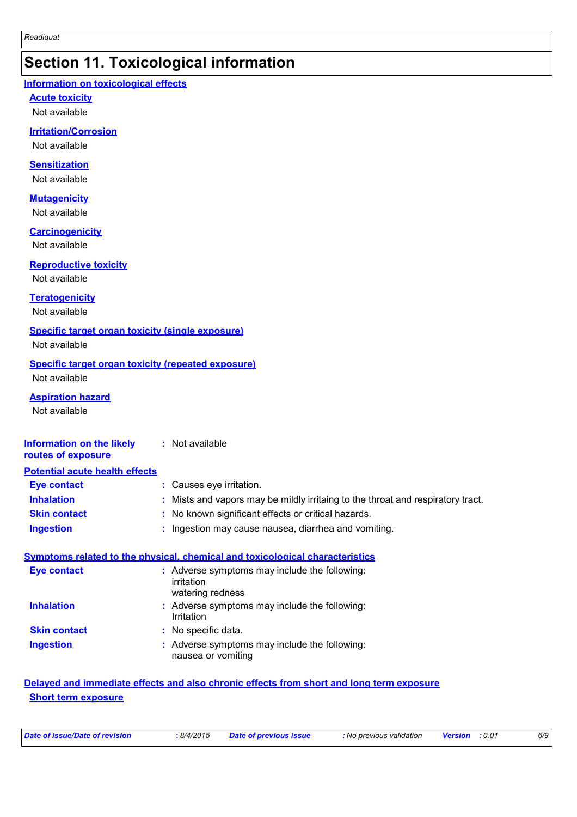## **Section 11. Toxicological information**

#### **Information on toxicological effects**

**Acute toxicity**

Not available

#### **Irritation/Corrosion**

Not available

#### **Sensitization**

Not available

#### **Mutagenicity**

Not available

#### **Carcinogenicity**

Not available

#### **Reproductive toxicity**

Not available

#### **Teratogenicity**

Not available

#### **Specific target organ toxicity (single exposure)**

Not available

#### **Specific target organ toxicity (repeated exposure)**

Not available

#### **Aspiration hazard**

Not available

#### **Information on the likely routes of exposure :** Not available

| <b>Potential acute health effects</b> |                                                                                 |
|---------------------------------------|---------------------------------------------------------------------------------|
| Eye contact                           | : Causes eye irritation.                                                        |
| <b>Inhalation</b>                     | : Mists and vapors may be mildly irritaing to the throat and respiratory tract. |
| <b>Skin contact</b>                   | : No known significant effects or critical hazards.                             |
| <b>Ingestion</b>                      | : Ingestion may cause nausea, diarrhea and vomiting.                            |

#### **Symptoms related to the physical, chemical and toxicological characteristics**

| <b>Eye contact</b>  | : Adverse symptoms may include the following:<br>irritation<br>watering redness |
|---------------------|---------------------------------------------------------------------------------|
| <b>Inhalation</b>   | : Adverse symptoms may include the following:<br>Irritation                     |
| <b>Skin contact</b> | : No specific data.                                                             |
| <b>Ingestion</b>    | : Adverse symptoms may include the following:<br>nausea or vomiting             |

#### **Delayed and immediate effects and also chronic effects from short and long term exposure Short term exposure**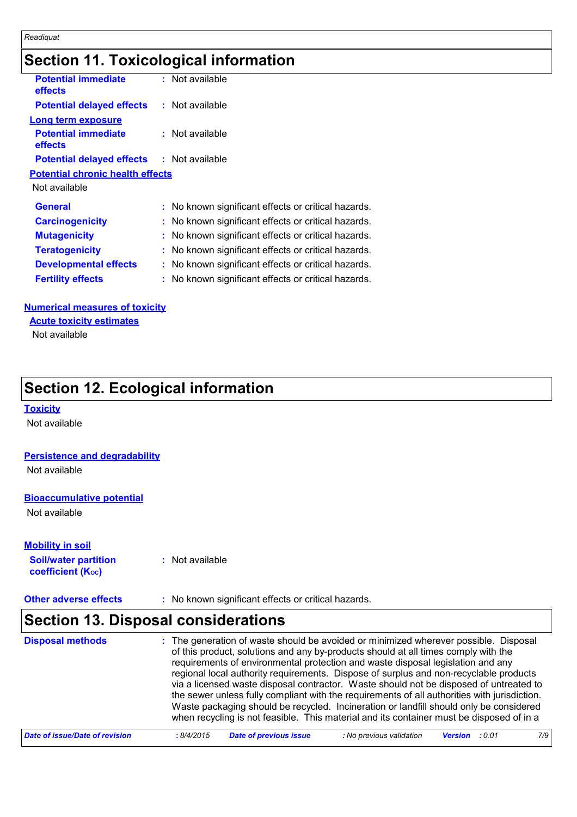## **Section 11. Toxicological information**

| <b>Potential immediate</b><br><b>effects</b>     | : Not available                                     |
|--------------------------------------------------|-----------------------------------------------------|
| <b>Potential delayed effects</b>                 | $:$ Not available                                   |
| Long term exposure                               |                                                     |
| <b>Potential immediate</b><br>effects            | $:$ Not available                                   |
| <b>Potential delayed effects : Not available</b> |                                                     |
| <b>Potential chronic health effects</b>          |                                                     |
| Not available                                    |                                                     |
| <b>General</b>                                   | : No known significant effects or critical hazards. |
| <b>Carcinogenicity</b>                           | : No known significant effects or critical hazards. |
| <b>Mutagenicity</b>                              | : No known significant effects or critical hazards. |
| <b>Teratogenicity</b>                            | : No known significant effects or critical hazards. |
| <b>Developmental effects</b>                     | : No known significant effects or critical hazards. |
| <b>Fertility effects</b>                         | : No known significant effects or critical hazards. |
|                                                  |                                                     |

#### **Numerical measures of toxicity**

Not available **Acute toxicity estimates**

## **Section 12. Ecological information**

#### **Toxicity**

Not available

#### **Persistence and degradability**

Not available

#### **Bioaccumulative potential**

Not available

#### **Mobility in soil**

**Soil/water partition coefficient (KOC) :** Not available

**Other adverse effects** : No known significant effects or critical hazards.

## **Section 13. Disposal considerations**

| <b>Disposal methods</b>        | : The generation of waste should be avoided or minimized wherever possible. Disposal<br>of this product, solutions and any by-products should at all times comply with the<br>requirements of environmental protection and waste disposal legislation and any<br>regional local authority requirements. Dispose of surplus and non-recyclable products<br>via a licensed waste disposal contractor. Waste should not be disposed of untreated to<br>the sewer unless fully compliant with the requirements of all authorities with jurisdiction.<br>Waste packaging should be recycled. Incineration or landfill should only be considered<br>when recycling is not feasible. This material and its container must be disposed of in a |
|--------------------------------|----------------------------------------------------------------------------------------------------------------------------------------------------------------------------------------------------------------------------------------------------------------------------------------------------------------------------------------------------------------------------------------------------------------------------------------------------------------------------------------------------------------------------------------------------------------------------------------------------------------------------------------------------------------------------------------------------------------------------------------|
| Date of issue/Date of revision | <b>Date of previous issue</b><br>: No previous validation<br>7/9<br>: 8/4/2015<br><b>Version</b> : 0.01                                                                                                                                                                                                                                                                                                                                                                                                                                                                                                                                                                                                                                |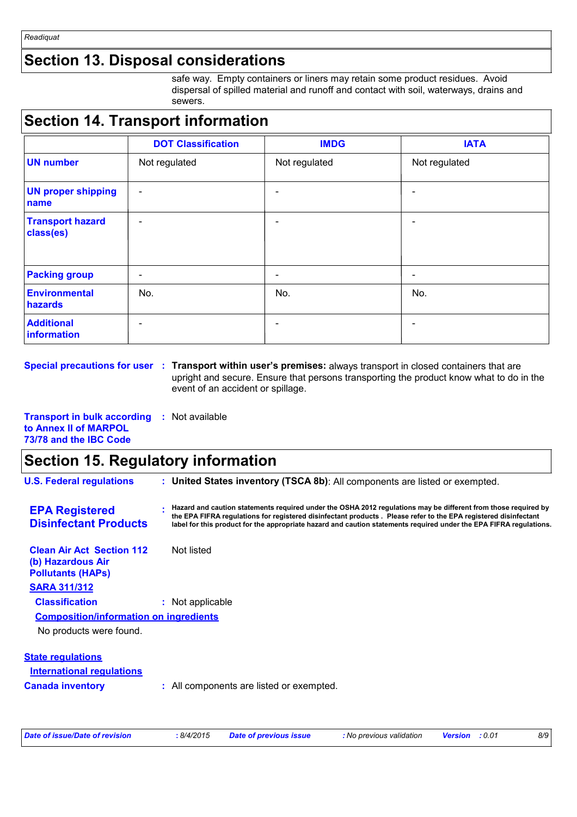## **Section 13. Disposal considerations**

safe way. Empty containers or liners may retain some product residues. Avoid dispersal of spilled material and runoff and contact with soil, waterways, drains and sewers.

## **Section 14. Transport information**

|                                      | <b>DOT Classification</b> | <b>IMDG</b>   | <b>IATA</b>              |
|--------------------------------------|---------------------------|---------------|--------------------------|
| <b>UN number</b>                     | Not regulated             | Not regulated | Not regulated            |
| <b>UN proper shipping</b><br>name    | $\overline{\phantom{a}}$  |               | $\overline{\phantom{0}}$ |
| <b>Transport hazard</b><br>class(es) | $\overline{\phantom{a}}$  | ۰             | $\overline{\phantom{a}}$ |
| <b>Packing group</b>                 | $\overline{\phantom{a}}$  |               | $\overline{\phantom{a}}$ |
| <b>Environmental</b><br>hazards      | No.                       | No.           | No.                      |
| <b>Additional</b><br>information     | $\overline{\phantom{a}}$  |               | ۰                        |

**Special precautions for user : Transport within user's premises: always transport in closed containers that are** upright and secure. Ensure that persons transporting the product know what to do in the event of an accident or spillage.

| <b>Transport in bulk according : Not available</b> |  |
|----------------------------------------------------|--|
| to Annex II of MARPOL                              |  |
| 73/78 and the IBC Code                             |  |

## **Section 15. Regulatory information**

| <b>U.S. Federal regulations</b>                                                   |  | : United States inventory (TSCA 8b): All components are listed or exempted.                                                                                                                                                                                                                                                                             |
|-----------------------------------------------------------------------------------|--|---------------------------------------------------------------------------------------------------------------------------------------------------------------------------------------------------------------------------------------------------------------------------------------------------------------------------------------------------------|
| <b>EPA Registered</b><br><b>Disinfectant Products</b>                             |  | Hazard and caution statements required under the OSHA 2012 regulations may be different from those required by<br>the EPA FIFRA regulations for registered disinfectant products. Please refer to the EPA registered disinfectant<br>label for this product for the appropriate hazard and caution statements required under the EPA FIFRA regulations. |
| <b>Clean Air Act Section 112</b><br>(b) Hazardous Air<br><b>Pollutants (HAPs)</b> |  | Not listed                                                                                                                                                                                                                                                                                                                                              |
| <b>SARA 311/312</b>                                                               |  |                                                                                                                                                                                                                                                                                                                                                         |
| <b>Classification</b>                                                             |  | : Not applicable                                                                                                                                                                                                                                                                                                                                        |
| <b>Composition/information on ingredients</b>                                     |  |                                                                                                                                                                                                                                                                                                                                                         |
| No products were found.                                                           |  |                                                                                                                                                                                                                                                                                                                                                         |
| <b>State regulations</b>                                                          |  |                                                                                                                                                                                                                                                                                                                                                         |
| International regulations                                                         |  |                                                                                                                                                                                                                                                                                                                                                         |
| <b>Canada inventory</b>                                                           |  | : All components are listed or exempted.                                                                                                                                                                                                                                                                                                                |